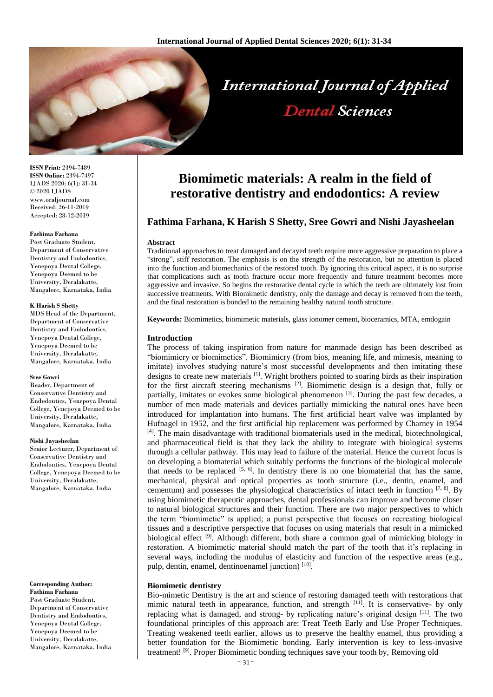

**ISSN Print:** 2394-7489 **ISSN Online:** 2394-7497 IJADS 2020; 6(1): 31-34 © 2020 IJADS www.oraljournal.com Received: 26-11-2019 Accepted: 28-12-2019

## **Fathima Farhana**

Post Graduate Student, Department of Conservative Dentistry and Endodontics, Yenepoya Dental College, Yenepoya Deemed to be University, Deralakatte, Mangalore, Karnataka, India

#### **K Harish S Shetty**

MDS Head of the Department, Department of Conservative Dentistry and Endodontics, Yenepoya Dental College, Yenepoya Deemed to be University, Deralakatte, Mangalore, Karnataka, India

#### **Sree Gowri**

Reader, Department of Conservative Dentistry and Endodontics, Yenepoya Dental College, Yenepoya Deemed to be University, Deralakatte, Mangalore, Karnataka, India

#### **Nishi Jayasheelan**

Senior Lecturer, Department of Conservative Dentistry and Endodontics, Yenepoya Dental College, Yenepoya Deemed to be University, Deralakatte, Mangalore, Karnataka, India

# **Corresponding Author: Fathima Farhana**

Post Graduate Student, Department of Conservative Dentistry and Endodontics, Yenepoya Dental College, Yenepoya Deemed to be University, Deralakatte, Mangalore, Karnataka, India

# **Biomimetic materials: A realm in the field of restorative dentistry and endodontics: A review**

**Dental Sciences** 

# **Fathima Farhana, K Harish S Shetty, Sree Gowri and Nishi Jayasheelan**

## **Abstract**

Traditional approaches to treat damaged and decayed teeth require more aggressive preparation to place a "strong", stiff restoration. The emphasis is on the strength of the restoration, but no attention is placed into the function and biomechanics of the restored tooth. By ignoring this critical aspect, it is no surprise that complications such as tooth fracture occur more frequently and future treatment becomes more aggressive and invasive. So begins the restorative dental cycle in which the teeth are ultimately lost from successive treatments. With Biomimetic dentistry, only the damage and decay is removed from the teeth, and the final restoration is bonded to the remaining healthy natural tooth structure.

**Keywords:** Biomimetics, biomimetic materials, glass ionomer cement, bioceramics, MTA, emdogain

## **Introduction**

The process of taking inspiration from nature for manmade design has been described as "biomimicry or biomimetics". Biomimicry (from bios, meaning life, and mimesis, meaning to imitate) involves studying nature's most successful developments and then imitating these designs to create new materials <sup>[1]</sup>. Wright brothers pointed to soaring birds as their inspiration for the first aircraft steering mechanisms [2]. Biomimetic design is a design that, fully or partially, imitates or evokes some biological phenomenon  $[3]$ . During the past few decades, a number of men made materials and devices partially mimicking the natural ones have been introduced for implantation into humans. The first artificial heart valve was implanted by Hufnagel in 1952, and the first artificial hip replacement was performed by Charney in 1954  $[4]$ . The main disadvantage with traditional biomaterials used in the medical, biotechnological, and pharmaceutical field is that they lack the ability to integrate with biological systems through a cellular pathway. This may lead to failure of the material. Hence the current focus is on developing a biomaterial which suitably performs the functions of the biological molecule that needs to be replaced  $[5, 6]$ . In dentistry there is no one biomaterial that has the same, mechanical, physical and optical properties as tooth structure (i.e., dentin, enamel, and cementum) and possesses the physiological characteristics of intact teeth in function  $[7, 8]$ . By using biomimetic therapeutic approaches, dental professionals can improve and become closer to natural biological structures and their function. There are two major perspectives to which the term "biomimetic" is applied; a purist perspective that focuses on recreating biological tissues and a descriptive perspective that focuses on using materials that result in a mimicked biological effect <sup>[9]</sup>. Although different, both share a common goal of mimicking biology in restoration. A biomimetic material should match the part of the tooth that it's replacing in several ways, including the modulus of elasticity and function of the respective areas (e.g., pulp, dentin, enamel, dentinoenamel junction)<sup>[10]</sup>.

## **Biomimetic dentistry**

Bio-mimetic Dentistry is the art and science of restoring damaged teeth with restorations that mimic natural teeth in appearance, function, and strength  $[11]$ . It is conservative- by only replacing what is damaged, and strong- by replicating nature's original design  $^{[11]}$ . The two foundational principles of this approach are: Treat Teeth Early and Use Proper Techniques. Treating weakened teeth earlier, allows us to preserve the healthy enamel, thus providing a better foundation for the Biomimetic bonding. Early intervention is key to less-invasive treatment!<sup>[9]</sup>. Proper Biomimetic bonding techniques save your tooth by, Removing old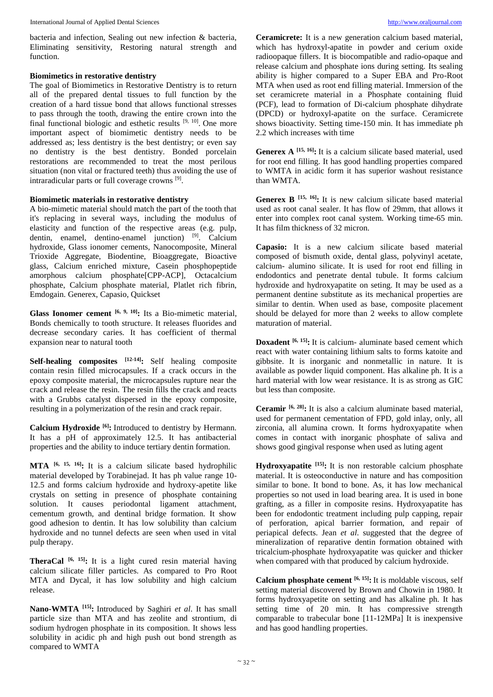bacteria and infection, Sealing out new infection & bacteria, Eliminating sensitivity, Restoring natural strength and function.

# **Biomimetics in restorative dentistry**

The goal of Biomimetics in Restorative Dentistry is to return all of the prepared dental tissues to full function by the creation of a hard tissue bond that allows functional stresses to pass through the tooth, drawing the entire crown into the final functional biologic and esthetic results  $[9, 10]$ . One more important aspect of biomimetic dentistry needs to be addressed as; less dentistry is the best dentistry; or even say no dentistry is the best dentistry. Bonded porcelain restorations are recommended to treat the most perilous situation (non vital or fractured teeth) thus avoiding the use of intraradicular parts or full coverage crowns [9] .

# **Biomimetic materials in restorative dentistry**

A bio-mimetic material should match the part of the tooth that it's replacing in several ways, including the modulus of elasticity and function of the respective areas (e.g. pulp, dentin, enamel, dentino-enamel junction) <sup>[9]</sup>. Calcium hydroxide, Glass ionomer cements, Nanocomposite, Mineral Trioxide Aggregate, Biodentine, Bioaggregate, Bioactive glass, Calcium enriched mixture, Casein phosphopeptide amorphous calcium phosphate[CPP-ACP], Octacalcium phosphate, Calcium phosphate material, Platlet rich fibrin, Emdogain. Generex, Capasio, Quickset

**Glass Ionomer cement [6, 9, 10] :** Its a Bio-mimetic material, Bonds chemically to tooth structure. It releases fluorides and decrease secondary caries. It has coefficient of thermal expansion near to natural tooth

**Self-healing composites [12-14] :** Self healing composite contain resin filled microcapsules. If a crack occurs in the epoxy composite material, the microcapsules rupture near the crack and release the resin. The resin fills the crack and reacts with a Grubbs catalyst dispersed in the epoxy composite, resulting in a polymerization of the resin and crack repair.

**Calcium Hydroxide [6] :** Introduced to dentistry by Hermann. It has a pH of approximately 12.5. It has antibacterial properties and the ability to induce tertiary dentin formation.

**MTA [6, 15, 16] :** It is a calcium silicate based hydrophilic material developed by Torabinejad. It has ph value range 10- 12.5 and forms calcium hydroxide and hydroxy-apetite like crystals on setting in presence of phosphate containing solution. It causes periodontal ligament attachment, cementum growth, and dentinal bridge formation. It show good adhesion to dentin. It has low solubility than calcium hydroxide and no tunnel defects are seen when used in vital pulp therapy.

**TheraCal [6, 15] :** It is a light cured resin material having calcium silicate filler particles. As compared to Pro Root MTA and Dycal, it has low solubility and high calcium release.

**Nano-WMTA [15] :** Introduced by Saghiri *et al*. It has small particle size than MTA and has zeolite and strontium, di sodium hydrogen phosphate in its composition. It shows less solubility in acidic ph and high push out bond strength as compared to WMTA

**Ceramicrete:** It is a new generation calcium based material, which has hydroxyl-apatite in powder and cerium oxide radioopaque fillers. It is biocompatible and radio-opaque and release calcium and phosphate ions during setting. Its sealing ability is higher compared to a Super EBA and Pro-Root MTA when used as root end filling material. Immersion of the set ceramicrete material in a Phosphate containing fluid (PCF), lead to formation of Di-calcium phosphate dihydrate (DPCD) or hydroxyl-apatite on the surface. Ceramicrete shows bioactivity. Setting time-150 min. It has immediate ph 2.2 which increases with time

**Generex A [15, 16] :** It is a calcium silicate based material, used for root end filling. It has good handling properties compared to WMTA in acidic form it has superior washout resistance than WMTA.

**Generex B [15, 16] :** It is new calcium silicate based material used as root canal sealer. It has flow of 29mm, that allows it enter into complex root canal system. Working time-65 min. It has film thickness of 32 micron.

**Capasio:** It is a new calcium silicate based material composed of bismuth oxide, dental glass, polyvinyl acetate, calcium- alumino silicate. It is used for root end filling in endodontics and penetrate dental tubule. It forms calcium hydroxide and hydroxyapatite on seting. It may be used as a permanent dentine substitute as its mechanical properties are similar to dentin. When used as base, composite placement should be delayed for more than 2 weeks to allow complete maturation of material.

**Doxadent** <sup>[6, 15]</sup>: It is calcium- aluminate based cement which react with water containing lithium salts to forms katoite and gibbsite. It is inorganic and nonmetallic in nature. It is available as powder liquid component. Has alkaline ph. It is a hard material with low wear resistance. It is as strong as GIC but less than composite.

**Ceramir [6, 28] :** It is also a calcium aluminate based material, used for permanent cementation of FPD, gold inlay, only, all zirconia, all alumina crown. It forms hydroxyapatite when comes in contact with inorganic phosphate of saliva and shows good gingival response when used as luting agent

**Hydroxyapatite [15] :** It is non restorable calcium phosphate material. It is osteoconductive in nature and has composition similar to bone. It bond to bone. As, it has low mechanical properties so not used in load bearing area. It is used in bone grafting, as a filler in composite resins. Hydroxyapatite has been for endodontic treatment including pulp capping, repair of perforation, apical barrier formation, and repair of periapical defects. Jean *et al*. suggested that the degree of mineralization of reparative dentin formation obtained with tricalcium-phosphate hydroxyapatite was quicker and thicker when compared with that produced by calcium hydroxide.

**Calcium phosphate cement [6, 15] :** It is moldable viscous, self setting material discovered by Brown and Chowin in 1980. It forms hydroxyapetite on setting and has alkaline ph. It has setting time of 20 min. It has compressive strength comparable to trabecular bone [11-12MPa] It is inexpensive and has good handling properties.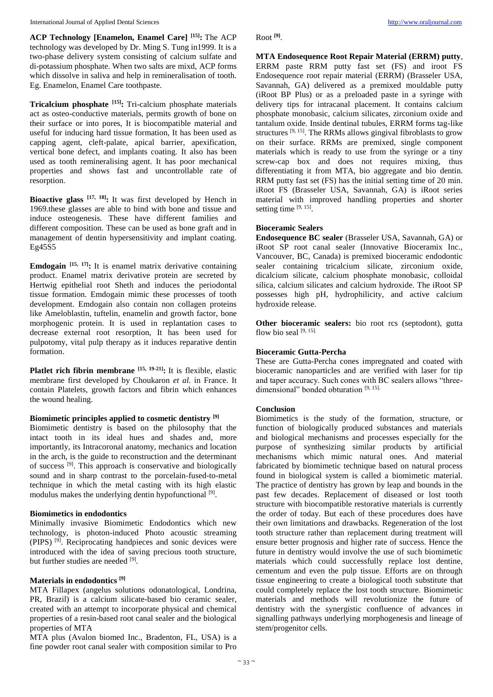**ACP Technology [Enamelon, Enamel Care] [15] :** The ACP technology was developed by Dr. Ming S. Tung in1999. It is a two-phase delivery system consisting of calcium sulfate and di-potassium phosphate. When two salts are mixd, ACP forms which dissolve in saliva and help in remineralisation of tooth. Eg. Enamelon, Enamel Care toothpaste.

**Tricalcium phosphate [15] :** Tri-calcium phosphate materials act as osteo-conductive materials, permits growth of bone on their surface or into pores, It is biocompatible material and useful for inducing hard tissue formation, It has been used as capping agent, cleft-palate, apical barrier, apexification, vertical bone defect, and implants coating. It also has been used as tooth remineralising agent. It has poor mechanical properties and shows fast and uncontrollable rate of resorption.

**Bioactive glass [17, 18] :** It was first developed by Hench in 1969.these glasses are able to bind with bone and tissue and induce osteogenesis. These have different families and different composition. These can be used as bone graft and in management of dentin hypersensitivity and implant coating. Eg45S5

**Emdogain [15, 17] :** It is enamel matrix derivative containing product. Enamel matrix derivative protein are secreted by Hertwig epithelial root Sheth and induces the periodontal tissue formation. Emdogain mimic these processes of tooth development. Emdogain also contain non collagen proteins like Ameloblastin, tuftelin, enamelin and growth factor, bone morphogenic protein. It is used in replantation cases to decrease external root resorption, It has been used for pulpotomy, vital pulp therapy as it induces reparative dentin formation.

**Platlet rich fibrin membrane [15, 19-21] :** It is flexible, elastic membrane first developed by Choukaron *et al.* in France. It contain Platelets, growth factors and fibrin which enhances the wound healing.

#### **Biomimetic principles applied to cosmetic dentistry [9]**

Biomimetic dentistry is based on the philosophy that the intact tooth in its ideal hues and shades and, more importantly, its Intracoronal anatomy, mechanics and location in the arch, is the guide to reconstruction and the determinant of success <sup>[9]</sup>. This approach is conservative and biologically sound and in sharp contrast to the porcelain-fused-to-metal technique in which the metal casting with its high elastic modulus makes the underlying dentin hypofunctional [9].

## **Biomimetics in endodontics**

Minimally invasive Biomimetic Endodontics which new technology, is photon-induced Photo acoustic streaming (PIPS) [9] . Reciprocating handpieces and sonic devices were introduced with the idea of saving precious tooth structure, but further studies are needed [9].

## **Materials in endodontics [9]**

MTA Fillapex (angelus solutions odonatological, Londrina, PR, Brazil) is a calcium silicate-based bio ceramic sealer, created with an attempt to incorporate physical and chemical properties of a resin-based root canal sealer and the biological properties of MTA

MTA plus (Avalon biomed Inc., Bradenton, FL, USA) is a fine powder root canal sealer with composition similar to Pro

Root **[9]** .

**MTA Endosequence Root Repair Material (ERRM) putty**, ERRM paste RRM putty fast set (FS) and iroot FS Endosequence root repair material (ERRM) (Brasseler USA, Savannah, GA) delivered as a premixed mouldable putty (iRoot BP Plus) or as a preloaded paste in a syringe with delivery tips for intracanal placement. It contains calcium phosphate monobasic, calcium silicates, zirconium oxide and tantalum oxide. Inside dentinal tubules, ERRM forms tag-like structures  $[9, 15]$ . The RRMs allows gingival fibroblasts to grow on their surface. RRMs are premixed, single component materials which is ready to use from the syringe or a tiny screw-cap box and does not requires mixing, thus differentiating it from MTA, bio aggregate and bio dentin. RRM putty fast set (FS) has the initial setting time of 20 min. iRoot FS (Brasseler USA, Savannah, GA) is iRoot series material with improved handling properties and shorter setting time [9, 15].

## **Bioceramic Sealers**

**Endosequence BC sealer** (Brasseler USA, Savannah, GA) or iRoot SP root canal sealer (Innovative Bioceramix Inc., Vancouver, BC, Canada) is premixed bioceramic endodontic sealer containing tricalcium silicate, zirconium oxide, dicalcium silicate, calcium phosphate monobasic, colloidal silica, calcium silicates and calcium hydroxide. The iRoot SP possesses high pH, hydrophilicity, and active calcium hydroxide release.

**Other bioceramic sealers:** bio root rcs (septodont), gutta flow bio seal  $[9, 15]$ .

# **Bioceramic Gutta-Percha**

These are Gutta-Percha cones impregnated and coated with bioceramic nanoparticles and are verified with laser for tip and taper accuracy. Such cones with BC sealers allows "threedimensional" bonded obturation [9, 15].

## **Conclusion**

Biomimetics is the study of the formation, structure, or function of biologically produced substances and materials and biological mechanisms and processes especially for the purpose of synthesizing similar products by artificial mechanisms which mimic natural ones. And material fabricated by biomimetic technique based on natural process found in biological system is called a biomimetic material. The practice of dentistry has grown by leap and bounds in the past few decades. Replacement of diseased or lost tooth structure with biocompatible restorative materials is currently the order of today. But each of these procedures does have their own limitations and drawbacks. Regeneration of the lost tooth structure rather than replacement during treatment will ensure better prognosis and higher rate of success. Hence the future in dentistry would involve the use of such biomimetic materials which could successfully replace lost dentine, cementum and even the pulp tissue. Efforts are on through tissue engineering to create a biological tooth substitute that could completely replace the lost tooth structure. Biomimetic materials and methods will revolutionize the future of dentistry with the synergistic confluence of advances in signalling pathways underlying morphogenesis and lineage of stem/progenitor cells.